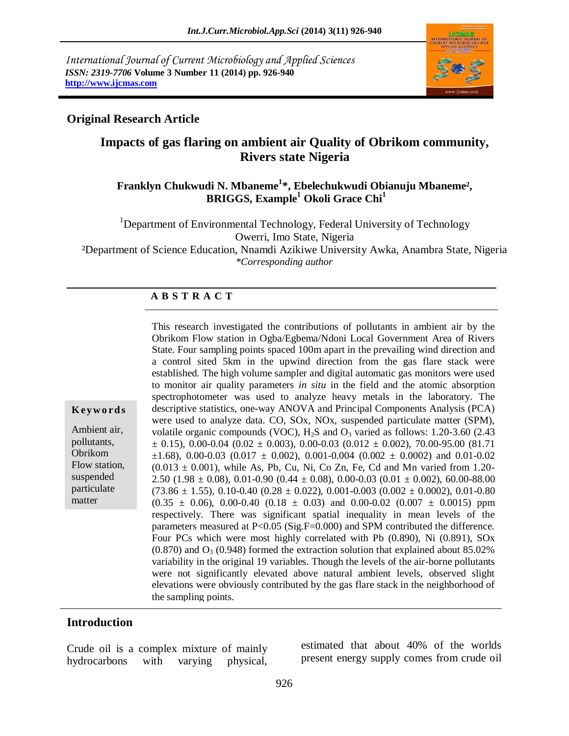*International Journal of Current Microbiology and Applied Sciences ISSN: 2319-7706* **Volume 3 Number 11 (2014) pp. 926-940 http://www.ijcmas.com**



# **Original Research Article**

# **Impacts of gas flaring on ambient air Quality of Obrikom community, Rivers state Nigeria**

# **Franklyn Chukwudi N. Mbaneme<sup>1</sup> \*, Ebelechukwudi Obianuju Mbaneme², BRIGGS, Example<sup>1</sup> Okoli Grace Chi<sup>1</sup>**

<sup>1</sup>Department of Environmental Technology, Federal University of Technology Owerri, Imo State, Nigeria

²Department of Science Education, Nnamdi Azikiwe University Awka, Anambra State, Nigeria *\*Corresponding author*

### **A B S T R A C T**

| This research investigated the contributions of pollutants in ambient air by the                            |
|-------------------------------------------------------------------------------------------------------------|
| Obrikom Flow station in Ogba/Egbema/Ndoni Local Government Area of Rivers                                   |
| State. Four sampling points spaced 100m apart in the prevailing wind direction and                          |
| a control sited 5km in the upwind direction from the gas flare stack were                                   |
| established. The high volume sampler and digital automatic gas monitors were used                           |
| to monitor air quality parameters in situ in the field and the atomic absorption                            |
| spectrophotometer was used to analyze heavy metals in the laboratory. The                                   |
| descriptive statistics, one-way ANOVA and Principal Components Analysis (PCA)                               |
| were used to analyze data. CO, SOx, NOx, suspended particulate matter (SPM),                                |
| volatile organic compounds (VOC), $H_2S$ and $O_3$ varied as follows: 1.20-3.60 (2.43)                      |
| $\pm$ 0.15), 0.00-0.04 (0.02 $\pm$ 0.003), 0.00-0.03 (0.012 $\pm$ 0.002), 70.00-95.00 (81.71)               |
| $\pm 1.68$ ), 0.00-0.03 (0.017 $\pm$ 0.002), 0.001-0.004 (0.002 $\pm$ 0.0002) and 0.01-0.02                 |
| $(0.013 \pm 0.001)$ , while As, Pb, Cu, Ni, Co Zn, Fe, Cd and Mn varied from 1.20-                          |
| 2.50 (1.98 $\pm$ 0.08), 0.01-0.90 (0.44 $\pm$ 0.08), 0.00-0.03 (0.01 $\pm$ 0.002), 60.00-88.00              |
| $(73.86 \pm 1.55), 0.10 \cdot 0.40 (0.28 \pm 0.022), 0.001 \cdot 0.003 (0.002 \pm 0.0002), 0.01 \cdot 0.80$ |
| $(0.35 \pm 0.06)$ , 0.00-0.40 (0.18 $\pm$ 0.03) and 0.00-0.02 (0.007 $\pm$ 0.0015) ppm                      |
| respectively. There was significant spatial inequality in mean levels of the                                |
| parameters measured at P<0.05 (Sig.F=0.000) and SPM contributed the difference.                             |
| Four PCs which were most highly correlated with Pb (0.890), Ni (0.891), SOx                                 |
| $(0.870)$ and $O3$ (0.948) formed the extraction solution that explained about 85.02%                       |
| variability in the original 19 variables. Though the levels of the air-borne pollutants                     |
| were not significantly elevated above natural ambient levels, observed slight                               |
| elevations were obviously contributed by the gas flare stack in the neighborhood of                         |
| the sampling points.                                                                                        |

### **Introduction**

**K ey w o rd s**

Ambient air, pollutants, Obrikom Flow station, suspended particulate matter

Crude oil is a complex mixture of mainly hydrocarbons with varying physical,

estimated that about 40% of the worlds present energy supply comes from crude oil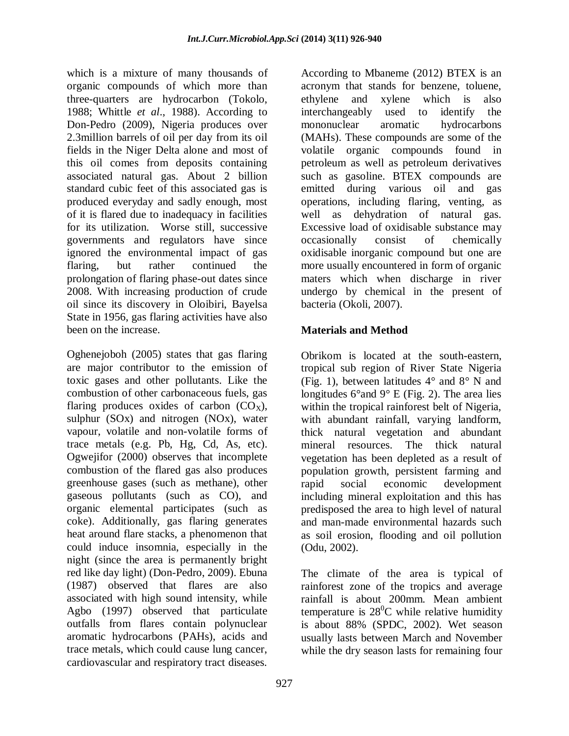which is a mixture of many thousands of organic compounds of which more than three-quarters are hydrocarbon (Tokolo, 1988; Whittle *et al*., 1988). According to Don-Pedro (2009), Nigeria produces over 2.3million barrels of oil per day from its oil fields in the Niger Delta alone and most of this oil comes from deposits containing associated natural gas. About 2 billion standard cubic feet of this associated gas is produced everyday and sadly enough, most of it is flared due to inadequacy in facilities for its utilization. Worse still, successive governments and regulators have since ignored the environmental impact of gas flaring, but rather continued the prolongation of flaring phase-out dates since 2008. With increasing production of crude oil since its discovery in Oloibiri, Bayelsa State in 1956, gas flaring activities have also been on the increase.

Oghenejoboh (2005) states that gas flaring are major contributor to the emission of toxic gases and other pollutants. Like the combustion of other carbonaceous fuels, gas flaring produces oxides of carbon  $(CO_X)$ , sulphur (SOx) and nitrogen (NOx), water vapour, volatile and non-volatile forms of trace metals (e.g. Pb, Hg, Cd, As, etc). Ogwejifor (2000) observes that incomplete combustion of the flared gas also produces greenhouse gases (such as methane), other gaseous pollutants (such as CO), and organic elemental participates (such as coke). Additionally, gas flaring generates heat around flare stacks, a phenomenon that could induce insomnia, especially in the night (since the area is permanently bright red like day light) (Don-Pedro, 2009). Ebuna (1987) observed that flares are also associated with high sound intensity, while Agbo (1997) observed that particulate outfalls from flares contain polynuclear aromatic hydrocarbons (PAHs), acids and trace metals, which could cause lung cancer, cardiovascular and respiratory tract diseases.

According to Mbaneme (2012) BTEX is an acronym that stands for benzene, toluene, ethylene and xylene which is also interchangeably used to identify the mononuclear aromatic hydrocarbons (MAHs). These compounds are some of the volatile organic compounds found in petroleum as well as petroleum derivatives such as gasoline. BTEX compounds are emitted during various oil and gas operations, including flaring, venting, as well as dehydration of natural gas. Excessive load of oxidisable substance may occasionally consist of chemically oxidisable inorganic compound but one are more usually encountered in form of organic maters which when discharge in river undergo by chemical in the present of bacteria (Okoli, 2007).

# **Materials and Method**

Obrikom is located at the south-eastern, tropical sub region of River State Nigeria (Fig. 1), between latitudes  $4^{\circ}$  and  $8^{\circ}$  N and longitudes 6°and 9° E (Fig. 2). The area lies within the tropical rainforest belt of Nigeria, with abundant rainfall, varying landform, thick natural vegetation and abundant mineral resources. The thick natural vegetation has been depleted as a result of population growth, persistent farming and rapid social economic development including mineral exploitation and this has predisposed the area to high level of natural and man-made environmental hazards such as soil erosion, flooding and oil pollution (Odu, 2002).

The climate of the area is typical of rainforest zone of the tropics and average rainfall is about 200mm. Mean ambient temperature is  $28^{\circ}$ C while relative humidity is about 88% (SPDC, 2002). Wet season usually lasts between March and November while the dry season lasts for remaining four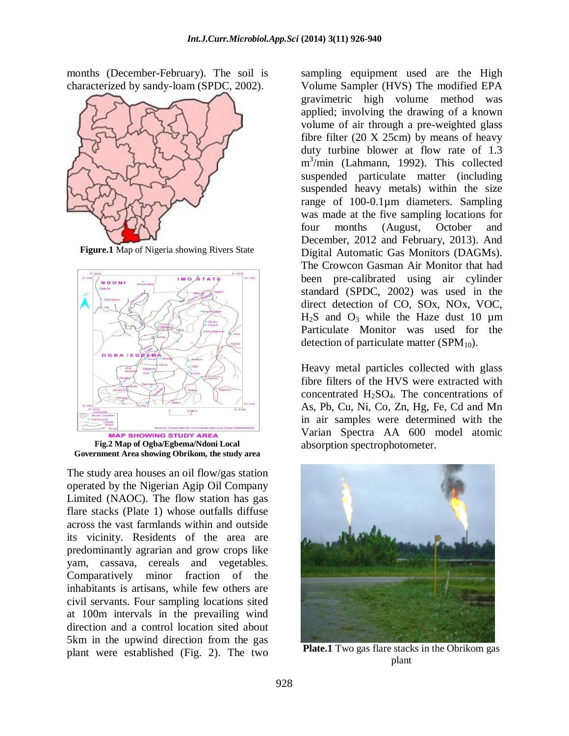months (December-February). The soil is characterized by sandy-loam (SPDC, 2002).



**Figure.1** Map of Nigeria showing Rivers State



**Fig.2 Map of Ogba/Egbema/Ndoni Local Government Area showing Obrikom, the study area**

The study area houses an oil flow/gas station operated by the Nigerian Agip Oil Company Limited (NAOC). The flow station has gas flare stacks (Plate 1) whose outfalls diffuse across the vast farmlands within and outside its vicinity. Residents of the area are predominantly agrarian and grow crops like yam, cassava, cereals and vegetables. Comparatively minor fraction of the inhabitants is artisans, while few others are civil servants. Four sampling locations sited at 100m intervals in the prevailing wind direction and a control location sited about 5km in the upwind direction from the gas plant were established (Fig. 2). The two sampling equipment used are the High Volume Sampler (HVS) The modified EPA gravimetric high volume method was applied; involving the drawing of a known volume of air through a pre-weighted glass fibre filter  $(20 \text{ X } 25 \text{ cm})$  by means of heavy duty turbine blower at flow rate of 1.3 m 3 /min (Lahmann, 1992). This collected suspended particulate matter (including suspended heavy metals) within the size range of 100-0.1µm diameters. Sampling was made at the five sampling locations for four months (August, October and December, 2012 and February, 2013). And Digital Automatic Gas Monitors (DAGMs). The Crowcon Gasman Air Monitor that had been pre-calibrated using air cylinder standard (SPDC, 2002) was used in the direct detection of CO, SOx, NOx, VOC,  $H<sub>2</sub>S$  and  $O<sub>3</sub>$  while the Haze dust 10  $\mu$ m Particulate Monitor was used for the detection of particulate matter ( $SPM<sub>10</sub>$ ).

Heavy metal particles collected with glass fibre filters of the HVS were extracted with concentrated  $H_2SO_4$ . The concentrations of As, Pb, Cu, Ni, Co, Zn, Hg, Fe, Cd and Mn in air samples were determined with the Varian Spectra AA 600 model atomic absorption spectrophotometer.



**Plate.1** Two gas flare stacks in the Obrikom gas plant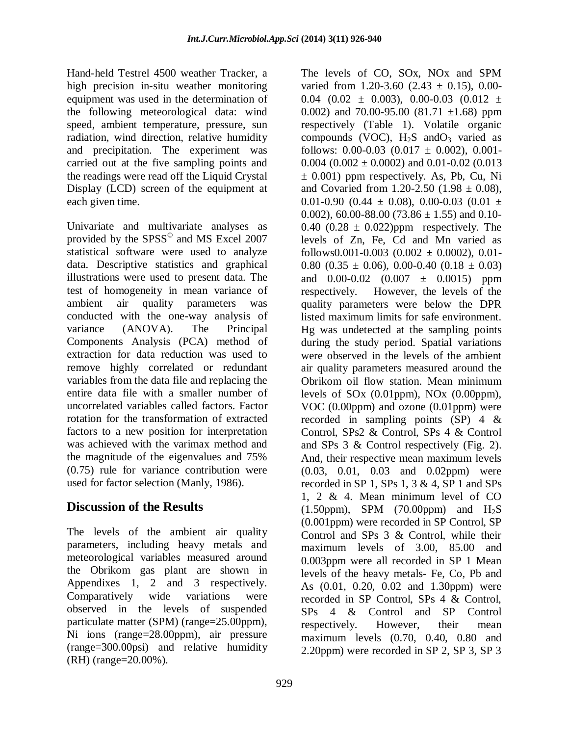Hand-held Testrel 4500 weather Tracker, a high precision in-situ weather monitoring equipment was used in the determination of the following meteorological data: wind speed, ambient temperature, pressure, sun radiation, wind direction, relative humidity and precipitation. The experiment was carried out at the five sampling points and the readings were read off the Liquid Crystal Display (LCD) screen of the equipment at each given time.

Univariate and multivariate analyses as provided by the SPSS<sup>©</sup> and MS Excel 2007 statistical software were used to analyze data. Descriptive statistics and graphical illustrations were used to present data. The test of homogeneity in mean variance of ambient air quality parameters was conducted with the one-way analysis of variance (ANOVA). The Principal Components Analysis (PCA) method of extraction for data reduction was used to remove highly correlated or redundant variables from the data file and replacing the entire data file with a smaller number of uncorrelated variables called factors. Factor rotation for the transformation of extracted factors to a new position for interpretation was achieved with the varimax method and the magnitude of the eigenvalues and 75% (0.75) rule for variance contribution were used for factor selection (Manly, 1986).

# **Discussion of the Results**

The levels of the ambient air quality parameters, including heavy metals and meteorological variables measured around the Obrikom gas plant are shown in Appendixes 1, 2 and 3 respectively. Comparatively wide variations were observed in the levels of suspended particulate matter (SPM) (range=25.00ppm), Ni ions (range=28.00ppm), air pressure (range=300.00psi) and relative humidity (RH) (range=20.00%).

The levels of CO, SOx, NOx and SPM varied from 1.20-3.60  $(2.43 \pm 0.15)$ , 0.00-0.04 (0.02  $\pm$  0.003), 0.00-0.03 (0.012  $\pm$ 0.002) and 70.00-95.00  $(81.71 \pm 1.68)$  ppm respectively (Table 1). Volatile organic compounds (VOC),  $H_2S$  and  $O_3$  varied as follows:  $0.00-0.03$   $(0.017 \pm 0.002)$ ,  $0.001-$ 0.004 (0.002  $\pm$  0.0002) and 0.01-0.02 (0.013  $\pm$  0.001) ppm respectively. As, Pb, Cu, Ni and Covaried from 1.20-2.50 (1.98  $\pm$  0.08), 0.01-0.90 (0.44  $\pm$  0.08), 0.00-0.03 (0.01  $\pm$ 0.002), 60.00-88.00 (73.86  $\pm$  1.55) and 0.10-0.40 (0.28  $\pm$  0.022)ppm respectively. The levels of Zn, Fe, Cd and Mn varied as follows0.001-0.003  $(0.002 \pm 0.0002)$ , 0.01-0.80 (0.35  $\pm$  0.06), 0.00-0.40 (0.18  $\pm$  0.03) and  $0.00-0.02$   $(0.007 \pm 0.0015)$  ppm respectively. However, the levels of the quality parameters were below the DPR listed maximum limits for safe environment. Hg was undetected at the sampling points during the study period. Spatial variations were observed in the levels of the ambient air quality parameters measured around the Obrikom oil flow station. Mean minimum levels of SOx (0.01ppm), NOx (0.00ppm), VOC (0.00ppm) and ozone (0.01ppm) were recorded in sampling points (SP) 4 & Control, SPs2 & Control, SPs 4 & Control and SPs 3 & Control respectively (Fig. 2). And, their respective mean maximum levels (0.03, 0.01, 0.03 and 0.02ppm) were recorded in SP 1, SPs 1, 3  $&$  4, SP 1 and SPs 1, 2 & 4. Mean minimum level of CO  $(1.50$ ppm), SPM  $(70.00$ ppm) and  $H_2S$ (0.001ppm) were recorded in SP Control, SP Control and SPs 3 & Control, while their maximum levels of 3.00, 85.00 and 0.003ppm were all recorded in SP 1 Mean levels of the heavy metals- Fe, Co, Pb and As (0.01, 0.20, 0.02 and 1.30ppm) were recorded in SP Control, SPs 4 & Control, SPs 4 & Control and SP Control respectively. However, their mean maximum levels (0.70, 0.40, 0.80 and 2.20ppm) were recorded in SP 2, SP 3, SP 3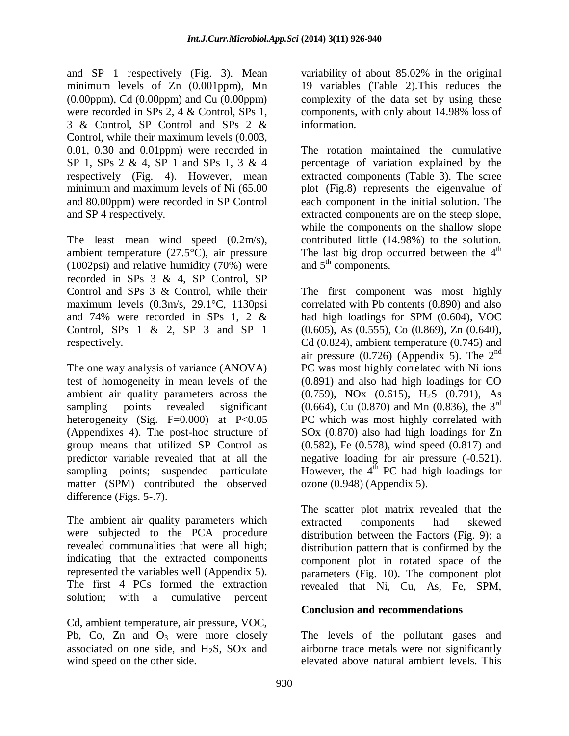and SP 1 respectively (Fig. 3). Mean minimum levels of Zn (0.001ppm), Mn (0.00ppm), Cd (0.00ppm) and Cu (0.00ppm) were recorded in SPs 2, 4 & Control, SPs 1, 3 & Control, SP Control and SPs 2 & Control, while their maximum levels (0.003, 0.01, 0.30 and 0.01ppm) were recorded in SP 1, SPs 2 & 4, SP 1 and SPs 1, 3 & 4 respectively (Fig. 4). However, mean minimum and maximum levels of Ni (65.00 and 80.00ppm) were recorded in SP Control and SP 4 respectively.

The least mean wind speed  $(0.2 \text{m/s})$ , ambient temperature (27.5°C), air pressure (1002psi) and relative humidity (70%) were recorded in SPs 3 & 4, SP Control, SP Control and SPs 3 & Control, while their maximum levels (0.3m/s, 29.1°C, 1130psi and 74% were recorded in SPs 1, 2 & Control, SPs 1 & 2, SP 3 and SP 1 respectively.

The one way analysis of variance (ANOVA) test of homogeneity in mean levels of the ambient air quality parameters across the sampling points revealed significant heterogeneity (Sig.  $F=0.000$ ) at  $P<0.05$ (Appendixes 4). The post-hoc structure of group means that utilized SP Control as predictor variable revealed that at all the sampling points; suspended particulate matter (SPM) contributed the observed difference (Figs. 5-.7).

The ambient air quality parameters which were subjected to the PCA procedure revealed communalities that were all high; indicating that the extracted components represented the variables well (Appendix 5). The first 4 PCs formed the extraction solution; with a cumulative percent

Cd, ambient temperature, air pressure, VOC, Pb, Co, Zn and  $O_3$  were more closely associated on one side, and  $H_2S$ ,  $SOX$  and wind speed on the other side.

variability of about 85.02% in the original 19 variables (Table 2).This reduces the complexity of the data set by using these components, with only about 14.98% loss of information.

The rotation maintained the cumulative percentage of variation explained by the extracted components (Table 3). The scree plot (Fig.8) represents the eigenvalue of each component in the initial solution. The extracted components are on the steep slope, while the components on the shallow slope contributed little (14.98%) to the solution. The last big drop occurred between the  $4<sup>th</sup>$ and  $5<sup>th</sup>$  components.

The first component was most highly correlated with Pb contents (0.890) and also had high loadings for SPM (0.604), VOC (0.605), As (0.555), Co (0.869), Zn (0.640), Cd (0.824), ambient temperature (0.745) and air pressure (0.726) (Appendix 5). The  $2<sup>nd</sup>$ PC was most highly correlated with Ni ions (0.891) and also had high loadings for CO (0.759), NOx (0.615), H2S (0.791), As  $(0.664)$ , Cu  $(0.870)$  and Mn  $(0.836)$ , the 3<sup>rd</sup> PC which was most highly correlated with SOx (0.870) also had high loadings for Zn (0.582), Fe (0.578), wind speed (0.817) and negative loading for air pressure (-0.521). However, the  $4<sup>th</sup>$  PC had high loadings for ozone (0.948) (Appendix 5).

The scatter plot matrix revealed that the extracted components had skewed distribution between the Factors (Fig. 9); a distribution pattern that is confirmed by the component plot in rotated space of the parameters (Fig. 10). The component plot revealed that Ni, Cu, As, Fe, SPM,

# **Conclusion and recommendations**

The levels of the pollutant gases and airborne trace metals were not significantly elevated above natural ambient levels. This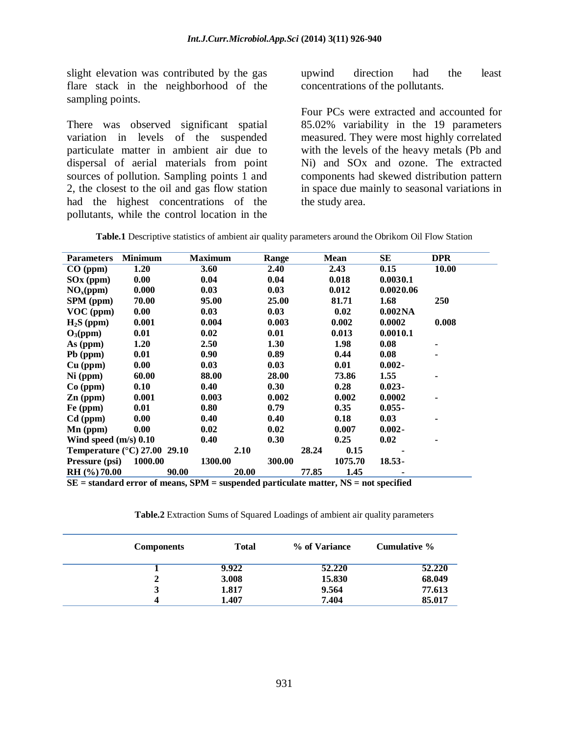slight elevation was contributed by the gas flare stack in the neighborhood of the sampling points.

There was observed significant spatial variation in levels of the suspended particulate matter in ambient air due to dispersal of aerial materials from point sources of pollution. Sampling points 1 and 2, the closest to the oil and gas flow station had the highest concentrations of the pollutants, while the control location in the

upwind direction had the least concentrations of the pollutants.

Four PCs were extracted and accounted for 85.02% variability in the 19 parameters measured. They were most highly correlated with the levels of the heavy metals (Pb and Ni) and SOx and ozone. The extracted components had skewed distribution pattern in space due mainly to seasonal variations in the study area.

| <b>Parameters</b>            | <b>Minimum</b>                        | <b>Maximum</b> | Range  | Mean          | SЕ                  | <b>DPR</b>     |
|------------------------------|---------------------------------------|----------------|--------|---------------|---------------------|----------------|
| CO (ppm)                     | 1.20                                  | 3.60           | 2.40   | 2.43          | 0.15                | <b>10.00</b>   |
| $SOX$ (ppm)                  | 0.00                                  | 0.04           | 0.04   | 0.018         | 0.0030.1            |                |
| NO <sub>x</sub> (ppm)        | 0.000                                 | 0.03           | 0.03   | 0.012         | 0.0020.06           |                |
| SPM (ppm)                    | 70.00                                 | 95.00          | 25.00  | 81.71         | 1.68                | 250            |
| $VOC$ (ppm)                  | 0.00                                  | 0.03           | 0.03   | 0.02          | 0.002 <sub>NA</sub> |                |
| $H_2S$ (ppm)                 | 0.001                                 | 0.004          | 0.003  | 0.002         | 0.0002              | 0.008          |
| $O_3(ppm)$                   | 0.01                                  | 0.02           | 0.01   | 0.013         | 0.0010.1            |                |
| As (ppm)                     | 1.20                                  | 2.50           | 1.30   | 1.98          | 0.08                | $\blacksquare$ |
| Pb (ppm)                     | 0.01                                  | 0.90           | 0.89   | 0.44          | 0.08                |                |
| $Cu$ (ppm)                   | 0.00                                  | 0.03           | 0.03   | 0.01          | $0.002 -$           |                |
| $Ni$ (ppm)                   | 60.00                                 | 88.00          | 28.00  | 73.86         | 1.55                |                |
| $Co$ (ppm)                   | 0.10                                  | 0.40           | 0.30   | 0.28          | $0.023 -$           |                |
| $Zn$ (ppm)                   | 0.001                                 | 0.003          | 0.002  | 0.002         | 0.0002              |                |
| Fe (ppm)                     | 0.01                                  | 0.80           | 0.79   | 0.35          | $0.055 -$           |                |
| $Cd$ (ppm)                   | 0.00                                  | 0.40           | 0.40   | 0.18          | 0.03                |                |
| $\mathbf{M}\mathbf{n}$ (ppm) | 0.00                                  | 0.02           | 0.02   | 0.007         | $0.002 -$           |                |
| Wind speed $(m/s)$ 0.10      |                                       | 0.40           | 0.30   | 0.25          | 0.02                |                |
|                              | Temperature $(^{\circ}C)$ 27.00 29.10 | 2.10           |        | 0.15<br>28.24 |                     |                |
| Pressure (psi)               | 1000.00                               | 1300.00        | 300.00 | 1075.70       | $18.53 -$           |                |
| RH (%) 70.00                 | 90.00                                 | 20.00          |        | 1.45<br>77.85 |                     |                |

**SE = standard error of means, SPM = suspended particulate matter, NS = not specified**

**Table.2** Extraction Sums of Squared Loadings of ambient air quality parameters

| <b>Components</b> | <b>Total</b> | % of Variance | Cumulative % |
|-------------------|--------------|---------------|--------------|
|                   | 9.922        | 52.220        | 52.220       |
|                   | 3.008        | 15.830        | 68.049       |
| 3                 | 1.817        | 9.564         | 77.613       |
| 4                 | 1.407        | 7.404         | 85.017       |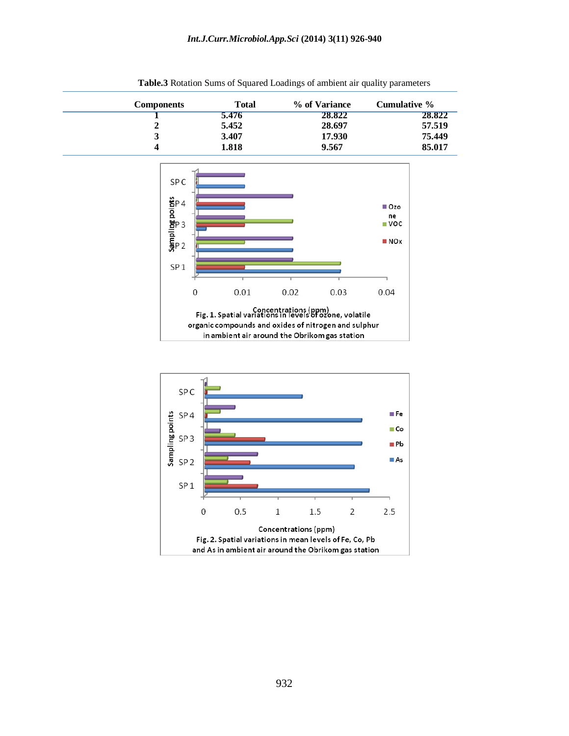| <b>Components</b> | <b>Total</b> | % of Variance | Cumulative % |
|-------------------|--------------|---------------|--------------|
|                   | 5.476        | 28.822        | 28.822       |
|                   | 5.452        | 28.697        | 57.519       |
|                   | 3.407        | 17.930        | 75.449       |
|                   | 1.818        | 9.567         | 85.017       |

**Table.3** Rotation Sums of Squared Loadings of ambient air quality parameters



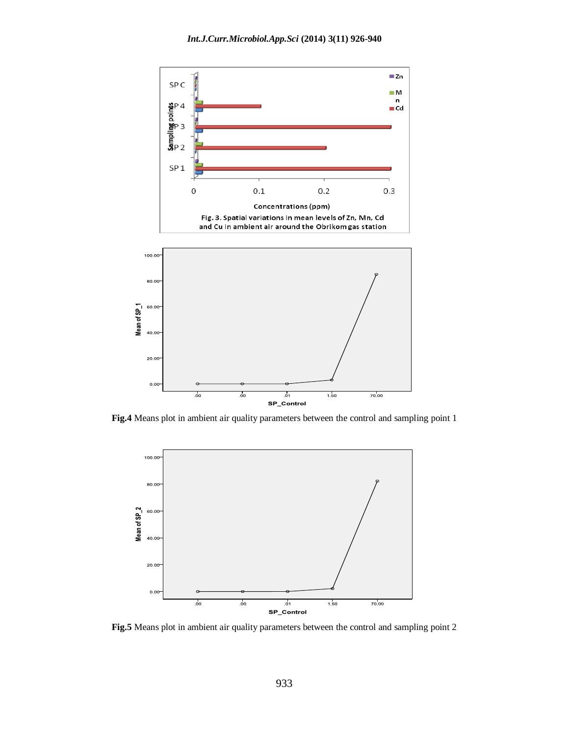

**Fig.4** Means plot in ambient air quality parameters between the control and sampling point 1



**Fig.5** Means plot in ambient air quality parameters between the control and sampling point 2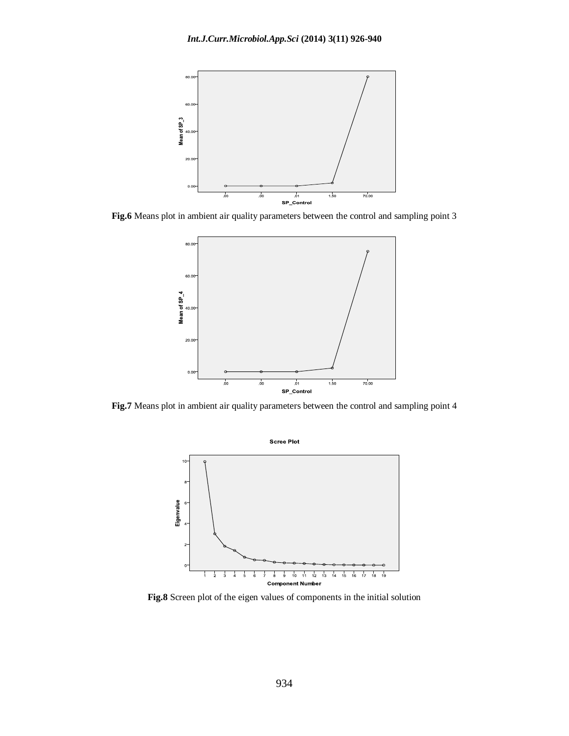

**Fig.6** Means plot in ambient air quality parameters between the control and sampling point 3



**Fig.7** Means plot in ambient air quality parameters between the control and sampling point 4



**Fig.8** Screen plot of the eigen values of components in the initial solution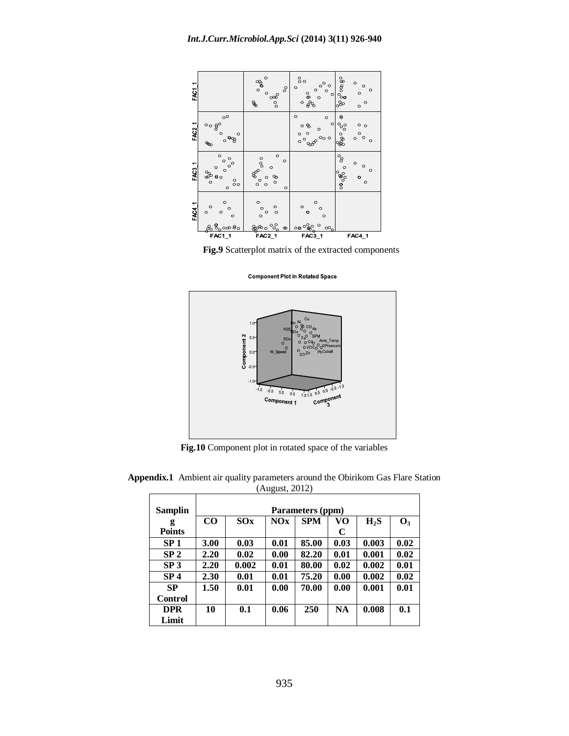

**Fig.9** Scatterplot matrix of the extracted components

**Component Plot in Rotated Space** 



**Fig.10** Component plot in rotated space of the variables

| Samplin         |          | ັ<br>Parameters (ppm) |      |       |           |        |                |  |  |  |
|-----------------|----------|-----------------------|------|-------|-----------|--------|----------------|--|--|--|
|                 | $\bf CO$ | <b>SPM</b>            |      |       |           |        |                |  |  |  |
| g               |          | SOx                   | NOx  |       | VO        | $H_2S$ | $\mathbf{O}_3$ |  |  |  |
| <b>Points</b>   |          |                       |      |       | C         |        |                |  |  |  |
| SP <sub>1</sub> | 3.00     | 0.03                  | 0.01 | 85.00 | 0.03      | 0.003  | 0.02           |  |  |  |
| SP <sub>2</sub> | 2.20     | 0.02                  | 0.00 | 82.20 | 0.01      | 0.001  | 0.02           |  |  |  |
| SP <sub>3</sub> | 2.20     | 0.002                 | 0.01 | 80.00 | 0.02      | 0.002  | 0.01           |  |  |  |
| SP <sub>4</sub> | 2.30     | 0.01                  | 0.01 | 75.20 | 0.00      | 0.002  | 0.02           |  |  |  |
| <b>SP</b>       | 1.50     | 0.01                  | 0.00 | 70.00 | 0.00      | 0.001  | 0.01           |  |  |  |
| Control         |          |                       |      |       |           |        |                |  |  |  |
| <b>DPR</b>      | 10       | 0.1                   | 0.06 | 250   | <b>NA</b> | 0.008  | 0.1            |  |  |  |
| Limit           |          |                       |      |       |           |        |                |  |  |  |

**Appendix.1** Ambient air quality parameters around the Obirikom Gas Flare Station (August, 2012)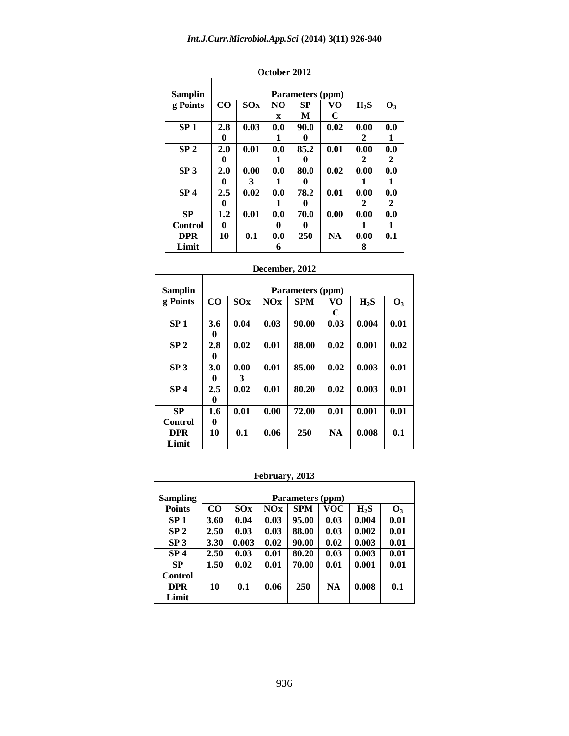| Samplin         | Parameters (ppm) |      |                |      |           |        |                |  |  |
|-----------------|------------------|------|----------------|------|-----------|--------|----------------|--|--|
| g Points        | $\bf CO$         | SOx  | N <sub>O</sub> | SP   | VO        | $H_2S$ | $\mathbf{O}_3$ |  |  |
|                 |                  |      | X              | M    | C         |        |                |  |  |
| SP <sub>1</sub> | 2.8              | 0.03 | 0.0            | 90.0 | 0.02      | 0.00   | 0.0            |  |  |
|                 | 0                |      | 1              | 0    |           | 2      | 1              |  |  |
| SP <sub>2</sub> | 2.0              | 0.01 | 0.0            | 85.2 | 0.01      | 0.00   | 0.0            |  |  |
|                 | 0                |      | 1              | 0    |           | 2      | 2              |  |  |
| SP <sub>3</sub> | 2.0              | 0.00 | 0.0            | 80.0 | 0.02      | 0.00   | 0.0            |  |  |
|                 | 0                | 3    | 1              | 0    |           |        |                |  |  |
| SP <sub>4</sub> | 2.5              | 0.02 | 0.0            | 78.2 | 0.01      | 0.00   | 0.0            |  |  |
|                 | 0                |      | 1              | 0    |           | 2      | 2              |  |  |
| <b>SP</b>       | $1.2\,$          | 0.01 | 0.0            | 70.0 | 0.00      | 0.00   | 0.0            |  |  |
| Control         | 0                |      | 0              | 0    |           | 1      | 1              |  |  |
| <b>DPR</b>      | 10               | 0.1  | 0.0            | 250  | <b>NA</b> | 0.00   | 0.1            |  |  |
| Limit           |                  |      | 6              |      |           | 8      |                |  |  |

| October 2012 |  |
|--------------|--|
|--------------|--|

| December, 2012 |  |
|----------------|--|
|----------------|--|

| Samplin         | Parameters (ppm) |      |      |            |           |        |                |  |
|-----------------|------------------|------|------|------------|-----------|--------|----------------|--|
| g Points        | CO               | SOx  | NOx  | <b>SPM</b> | VO        | $H_2S$ | $\mathbf{O}_3$ |  |
|                 |                  |      |      |            | C         |        |                |  |
| SP <sub>1</sub> | 3.6              | 0.04 | 0.03 | 90.00      | 0.03      | 0.004  | 0.01           |  |
|                 | 0                |      |      |            |           |        |                |  |
| SP <sub>2</sub> | 2.8              | 0.02 | 0.01 | 88.00      | 0.02      | 0.001  | 0.02           |  |
|                 | 0                |      |      |            |           |        |                |  |
| SP <sub>3</sub> | 3.0              | 0.00 | 0.01 | 85.00      | 0.02      | 0.003  | 0.01           |  |
|                 | 0                | 3    |      |            |           |        |                |  |
| SP <sub>4</sub> | 2.5              | 0.02 | 0.01 | 80.20      | 0.02      | 0.003  | 0.01           |  |
|                 | 0                |      |      |            |           |        |                |  |
| <b>SP</b>       | 1.6              | 0.01 | 0.00 | 72.00      | 0.01      | 0.001  | 0.01           |  |
| <b>Control</b>  | 0                |      |      |            |           |        |                |  |
| <b>DPR</b>      | 10               | 0.1  | 0.06 | 250        | <b>NA</b> | 0.008  | 0.1            |  |
| Limit           |                  |      |      |            |           |        |                |  |

#### **February, 2013**

 $\overline{\mathsf{I}}$ 

 $\mathsf{r}$ 

 $\top$ 

| <b>Sampling</b> | Parameters (ppm) |       |      |            |            |        |                |  |  |
|-----------------|------------------|-------|------|------------|------------|--------|----------------|--|--|
| <b>Points</b>   | $\bf CO$         | SQX   | NOx  | <b>SPM</b> | <b>VOC</b> | $H_2S$ | $\mathbf{O}_3$ |  |  |
| SP <sub>1</sub> | 3.60             | 0.04  | 0.03 | 95.00      | 0.03       | 0.004  | 0.01           |  |  |
| SP <sub>2</sub> | 2.50             | 0.03  | 0.03 | 88.00      | 0.03       | 0.002  | 0.01           |  |  |
| SP <sub>3</sub> | 3.30             | 0.003 | 0.02 | 90.00      | 0.02       | 0.003  | 0.01           |  |  |
| SP <sub>4</sub> | 2.50             | 0.03  | 0.01 | 80.20      | 0.03       | 0.003  | 0.01           |  |  |
| <b>SP</b>       | 1.50             | 0.02  | 0.01 | 70.00      | 0.01       | 0.001  | 0.01           |  |  |
| Control         |                  |       |      |            |            |        |                |  |  |
| <b>DPR</b>      | 10               | 0.1   | 0.06 | 250        | <b>NA</b>  | 0.008  | 0.1            |  |  |
| Limit           |                  |       |      |            |            |        |                |  |  |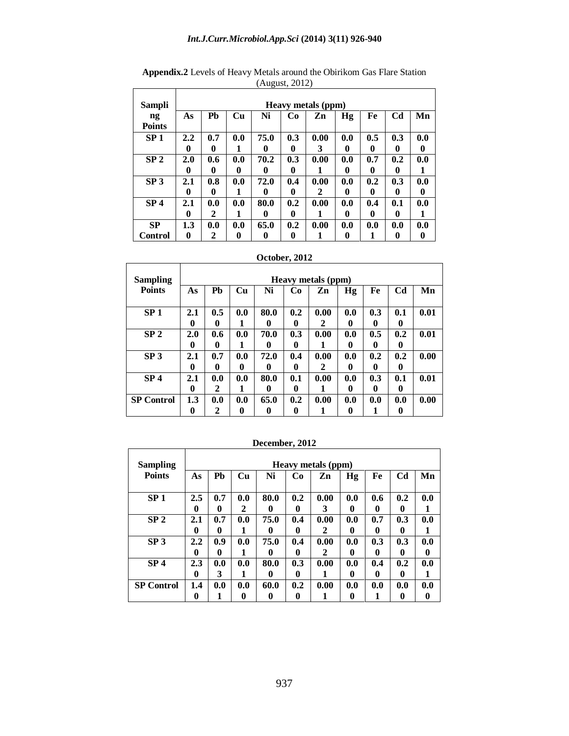| Sampli                                  | U<br><b>Heavy metals (ppm)</b> |     |     |      |     |      |     |     |                |     |
|-----------------------------------------|--------------------------------|-----|-----|------|-----|------|-----|-----|----------------|-----|
| $\mathbf{n}\mathbf{g}$<br><b>Points</b> | As                             | Ph  | Cu  | Ni   | Co  | Zn   | Hg  | Fe  | C <sub>d</sub> | Mn  |
| SP <sub>1</sub>                         | 2.2                            | 0.7 | 0.0 | 75.0 | 0.3 | 0.00 | 0.0 | 0.5 | 0.3            | 0.0 |
|                                         | 0                              | 0   | 1   | 0    | 0   | 3    | 0   | 0   | 0              | 0   |
| SP <sub>2</sub>                         | 2.0                            | 0.6 | 0.0 | 70.2 | 0.3 | 0.00 | 0.0 | 0.7 | 0.2            | 0.0 |
|                                         | 0                              | 0   | 0   | 0    | 0   | 1    | 0   | 0   | 0              | 1   |
| SP <sub>3</sub>                         | 2.1                            | 0.8 | 0.0 | 72.0 | 0.4 | 0.00 | 0.0 | 0.2 | 0.3            | 0.0 |
|                                         | 0                              | 0   | 1   | o    | 0   | 2    | 0   | 0   | 0              | 0   |
| SP <sub>4</sub>                         | 2.1                            | 0.0 | 0.0 | 80.0 | 0.2 | 0.00 | 0.0 | 0.4 | 0.1            | 0.0 |
|                                         | 0                              | 2   | 1   | 0    | 0   | 1    | 0   | 0   | 0              | 1   |
| <b>SP</b>                               | 1.3                            | 0.0 | 0.0 | 65.0 | 0.2 | 0.00 | 0.0 | 0.0 | 0.0            | 0.0 |
| <b>Control</b>                          | 0                              | 2   | 0   | 0    | 0   |      | 0   |     | 0              | 0   |

**Appendix.2** Levels of Heavy Metals around the Obirikom Gas Flare Station (August, 2012)

### **October, 2012**

 $\Gamma$ 

| <b>Sampling</b>   |          | Heavy metals (ppm) |     |           |          |           |          |             |                |      |
|-------------------|----------|--------------------|-----|-----------|----------|-----------|----------|-------------|----------------|------|
| <b>Points</b>     | As       | P <sub>b</sub>     | Cu  | Ni        | Co       | Zn        | Hg       | Fe          | C <sub>d</sub> | Mn   |
| SP <sub>1</sub>   | 2.1<br>0 | 0.5<br>0           | 0.0 | 80.0<br>0 | 0.2<br>0 | 0.00<br>2 | 0.0<br>0 | 0.3<br>0    | 0.1<br>0       | 0.01 |
| SP <sub>2</sub>   | 2.0      | 0.6                | 0.0 | 70.0      | 0.3      | 0.00      | 0.0      | 0.5         | 0.2            | 0.01 |
|                   | 0        | 0                  |     | 0         | 0        | 1         | 0        | 0           | 0              |      |
| SP <sub>3</sub>   | 2.1      | 0.7                | 0.0 | 72.0      | 0.4      | 0.00      | 0.0      | 0.2         | 0.2            | 0.00 |
|                   | 0        | 0                  | 0   | 0         | 0        | 2         | 0        | $\mathbf 0$ | 0              |      |
| SP <sub>4</sub>   | 2.1      | 0.0                | 0.0 | 80.0      | 0.1      | 0.00      | 0.0      | 0.3         | 0.1            | 0.01 |
|                   | 0        | 2                  |     | 0         | 0        |           | 0        | 0           | 0              |      |
| <b>SP Control</b> | 1.3      | 0.0                | 0.0 | 65.0      | 0.2      | 0.00      | 0.0      | 0.0         | 0.0            | 0.00 |
|                   | 0        | 2                  | 0   | 0         | 0        | 1         | 0        | 1           | 0              |      |

| <b>Sampling</b>   |     | Heavy metals (ppm) |     |      |     |      |     |     |                |     |
|-------------------|-----|--------------------|-----|------|-----|------|-----|-----|----------------|-----|
| <b>Points</b>     | As  | Pb                 | Cu  | Ni   | Co  | Zn   | Hg  | Fe  | C <sub>d</sub> | Mn  |
|                   |     |                    |     |      |     |      |     |     |                |     |
| SP <sub>1</sub>   | 2.5 | 0.7                | 0.0 | 80.0 | 0.2 | 0.00 | 0.0 | 0.6 | 0.2            | 0.0 |
|                   | 0   | 0                  | 2   | 0    | 0   | 3    | 0   | 0   | 0              |     |
| SP <sub>2</sub>   | 2.1 | 0.7                | 0.0 | 75.0 | 0.4 | 0.00 | 0.0 | 0.7 | 0.3            | 0.0 |
|                   | 0   | 0                  | 1   | 0    | 0   | 2    | 0   | 0   | $\mathbf{0}$   |     |
| SP <sub>3</sub>   | 2.2 | 0.9                | 0.0 | 75.0 | 0.4 | 0.00 | 0.0 | 0.3 | 0.3            | 0.0 |
|                   | 0   | 0                  | 1   | 0    | 0   | 2    | 0   | 0   | 0              | 0   |
| SP <sub>4</sub>   | 2.3 | 0.0                | 0.0 | 80.0 | 0.3 | 0.00 | 0.0 | 0.4 | 0.2            | 0.0 |
|                   | 0   | 3                  | 1   | 0    | 0   | 1    | 0   | 0   | 0              |     |
| <b>SP Control</b> | 1.4 | 0.0                | 0.0 | 60.0 | 0.2 | 0.00 | 0.0 | 0.0 | 0.0            | 0.0 |
|                   | 0   | 1                  | 0   | 0    | 0   |      | 0   |     | 0              | 0   |

**December, 2012**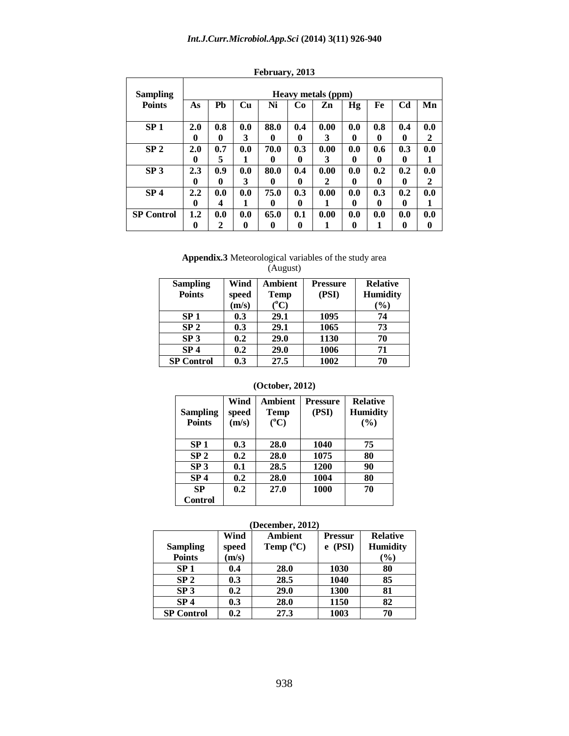| <b>Sampling</b>   |          | <b>Heavy metals (ppm)</b> |     |      |     |      |     |     |                |     |
|-------------------|----------|---------------------------|-----|------|-----|------|-----|-----|----------------|-----|
| <b>Points</b>     | As       | <b>Ph</b>                 | Cu  | Ni   | Cо  | Zn   | Hg  | Fe  | C <sub>d</sub> | Mn  |
| SP <sub>1</sub>   | 2.0      | 0.8                       | 0.0 | 88.0 | 0.4 | 0.00 | 0.0 | 0.8 | 0.4            | 0.0 |
|                   | 0        | 0                         | 3   | 0    | 0   | 3    | 0   | 0   | 0              | 2   |
| SP <sub>2</sub>   | 2.0      | 0.7                       | 0.0 | 70.0 | 0.3 | 0.00 | 0.0 | 0.6 | 0.3            | 0.0 |
|                   | 0        | 5                         | 1   | o    | 0   | 3    | 0   | 0   | 0              | 1   |
| SP <sub>3</sub>   | 2.3      | 0.9                       | 0.0 | 80.0 | 0.4 | 0.00 | 0.0 | 0.2 | 0.2            | 0.0 |
|                   | 0        | 0                         | 3   | 0    | 0   | 2    | 0   | 0   | 0              | 2   |
| SP <sub>4</sub>   | 2.2      | 0.0                       | 0.0 | 75.0 | 0.3 | 0.00 | 0.0 | 0.3 | 0.2            | 0.0 |
|                   | $\bf{0}$ | 4                         | 1   | 0    | 0   |      | 0   | 0   | 0              | 1   |
| <b>SP Control</b> | 1.2      | 0.0                       | 0.0 | 65.0 | 0.1 | 0.00 | 0.0 | 0.0 | 0.0            | 0.0 |
|                   | 0        | 2                         | 0   | 0    | 0   |      | 0   | 1   | 0              | 0   |

#### **February, 2013**

#### **Appendix.3** Meteorological variables of the study area (August)

| <b>Sampling</b>   | Wind  | Ambient       | <b>Pressure</b> | <b>Relative</b> |
|-------------------|-------|---------------|-----------------|-----------------|
| <b>Points</b>     | speed | <b>Temp</b>   | (PSI)           | <b>Humidity</b> |
|                   | (m/s) | $(^{\circ}C)$ |                 | $(\%)$          |
| SP <sub>1</sub>   | 0.3   | 29.1          | 1095            | 74              |
| SP <sub>2</sub>   | 0.3   | 29.1          | 1065            | 73              |
| SP <sub>3</sub>   | 0.2   | 29.0          | 1130            | 70              |
| SP <sub>4</sub>   | 0.2   | 29.0          | 1006            | 71              |
| <b>SP Control</b> | 0.3   | 27.5          | 1002            | 70              |

#### **(October, 2012)**

| <b>Sampling</b><br><b>Points</b> | Wind<br>speed<br>(m/s) | <b>Ambient</b><br><b>Temp</b><br>$(^{\circ}C)$ | <b>Pressure</b><br>(PSI) | <b>Relative</b><br><b>Humidity</b><br>(%) |
|----------------------------------|------------------------|------------------------------------------------|--------------------------|-------------------------------------------|
| SP <sub>1</sub>                  | 0.3                    | 28.0                                           | 1040                     | 75                                        |
| SP <sub>2</sub>                  | 0.2                    | 28.0                                           | 1075                     | 80                                        |
| SP <sub>3</sub>                  | 0.1                    | 28.5                                           | 1200                     | 90                                        |
| SP <sub>4</sub>                  | 0.2                    | 28.0                                           | 1004                     | 80                                        |
| SP                               | 0.2                    | 27.0                                           | 1000                     | 70                                        |
| <b>Control</b>                   |                        |                                                |                          |                                           |

#### **(December, 2012)**

|                   | Wind  | Ambient            | <b>Pressur</b> | <b>Relative</b> |
|-------------------|-------|--------------------|----------------|-----------------|
| <b>Sampling</b>   | speed | Temp $(^{\circ}C)$ | $e$ (PSI)      | <b>Humidity</b> |
| <b>Points</b>     | (m/s) |                    |                | (%)             |
| SP <sub>1</sub>   | 0.4   | 28.0               | 1030           | 80              |
| SP <sub>2</sub>   | 0.3   | 28.5               | 1040           | 85              |
| SP <sub>3</sub>   | 0.2   | 29.0               | 1300           | 81              |
| SP <sub>4</sub>   | 0.3   | 28.0               | 1150           | 82              |
| <b>SP Control</b> | 0.2   | 27.3               | 1003           | 70              |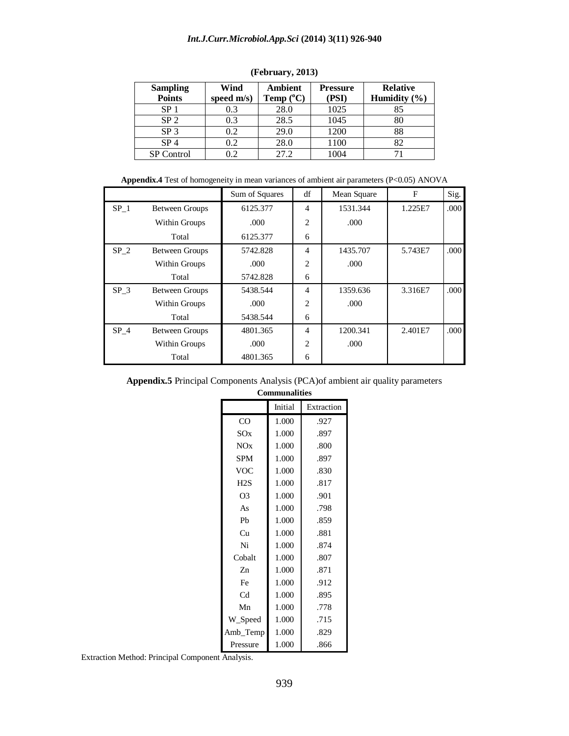| <b>Sampling</b><br><b>Points</b> | Wind<br>speed m/s) | <b>Ambient</b><br>Temp $(^{\circ}C)$ | <b>Pressure</b><br>(PSI) | <b>Relative</b><br>Humidity $(\% )$ |
|----------------------------------|--------------------|--------------------------------------|--------------------------|-------------------------------------|
| SP <sub>1</sub>                  | 0.3                | 28.0                                 | 1025                     | 85                                  |
| SP <sub>2</sub>                  | 0.3                | 28.5                                 | 1045                     | 80                                  |
| SP <sub>3</sub>                  | 0.2                | 29.0                                 | 1200                     | 88                                  |
| SP <sub>4</sub>                  | 0.2                | 28.0                                 | 1100                     | 82                                  |
| <b>SP</b> Control                | 0.2                | 27.2                                 | 1004                     |                                     |

#### **(February, 2013)**

Appendix.4 Test of homogeneity in mean variances of ambient air parameters (P<0.05) ANOVA

|                 |                       | Sum of Squares | df             | Mean Square | F       | Sig. |
|-----------------|-----------------------|----------------|----------------|-------------|---------|------|
| $SP_1$          | <b>Between Groups</b> | 6125.377       | $\overline{4}$ | 1531.344    | 1.225E7 | .000 |
|                 | Within Groups         | .000.          | $\overline{c}$ | .000        |         |      |
|                 | Total                 | 6125.377       | 6              |             |         |      |
| $SP_2$          | <b>Between Groups</b> | 5742.828       | $\overline{4}$ | 1435.707    | 5.743E7 | .000 |
|                 | Within Groups         | .000.          | $\overline{2}$ | .000        |         |      |
|                 | Total                 | 5742.828       | 6              |             |         |      |
| SP <sub>3</sub> | <b>Between Groups</b> | 5438.544       | $\overline{4}$ | 1359.636    | 3.316E7 | .000 |
|                 | Within Groups         | .000           | $\overline{2}$ | .000        |         |      |
|                 | Total                 | 5438.544       | 6              |             |         |      |
| SP <sub>4</sub> | <b>Between Groups</b> | 4801.365       | $\overline{4}$ | 1200.341    | 2.401E7 | .000 |
|                 | Within Groups         | .000.          | 2              | .000.       |         |      |
|                 | Total                 | 4801.365       | 6              |             |         |      |

| <b>Appendix.5</b> Principal Components Analysis (PCA) of ambient air quality parameters |  |  |  |  |  |
|-----------------------------------------------------------------------------------------|--|--|--|--|--|
| $Comm$ and $l1$                                                                         |  |  |  |  |  |

| om<br>munalīties |         |            |  |  |  |  |
|------------------|---------|------------|--|--|--|--|
|                  | Initial | Extraction |  |  |  |  |
| CO               | 1.000   | .927       |  |  |  |  |
| SOX              | 1.000   | .897       |  |  |  |  |
| NOx              | 1.000   | .800       |  |  |  |  |
| <b>SPM</b>       | 1.000   | .897       |  |  |  |  |
| VOC              | 1.000   | .830       |  |  |  |  |
| H2S              | 1.000   | .817       |  |  |  |  |
| O <sub>3</sub>   | 1.000   | .901       |  |  |  |  |
| As               | 1.000   | .798       |  |  |  |  |
| Ph               | 1.000   | .859       |  |  |  |  |
| Cu               | 1.000   | .881       |  |  |  |  |
| Ni               | 1.000   | .874       |  |  |  |  |
| Cobalt           | 1.000   | .807       |  |  |  |  |
| Zn               | 1.000   | .871       |  |  |  |  |
| Fe               | 1.000   | .912       |  |  |  |  |
| C <sub>d</sub>   | 1.000   | .895       |  |  |  |  |
| Mn               | 1.000   | .778       |  |  |  |  |
| W_Speed          | 1.000   | .715       |  |  |  |  |
| Amb_Temp         | 1.000   | .829       |  |  |  |  |
| Pressure         | 1.000   | .866       |  |  |  |  |

Extraction Method: Principal Component Analysis.